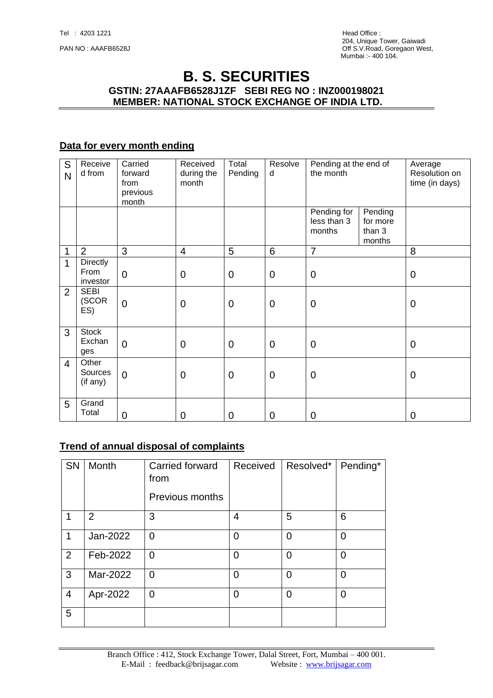# **B. S. SECURITIES GSTIN: 27AAAFB6528J1ZF SEBI REG NO : INZ000198021 MEMBER: NATIONAL STOCK EXCHANGE OF INDIA LTD.**

### **Data for every month ending**

| S<br>N         | Receive<br>d from                   | Carried<br>forward<br>from<br>previous<br>month | Received<br>during the<br>month | Total<br>Pending | Resolve<br>d    | Pending at the end of<br>the month   |                                         | Average<br>Resolution on<br>time (in days) |
|----------------|-------------------------------------|-------------------------------------------------|---------------------------------|------------------|-----------------|--------------------------------------|-----------------------------------------|--------------------------------------------|
|                |                                     |                                                 |                                 |                  |                 | Pending for<br>less than 3<br>months | Pending<br>for more<br>than 3<br>months |                                            |
| 1              | $\overline{2}$                      | 3                                               | $\overline{\mathcal{A}}$        | 5                | $6\phantom{1}6$ | $\overline{7}$                       |                                         | 8                                          |
| 1              | <b>Directly</b><br>From<br>investor | $\mathbf 0$                                     | $\mathbf 0$                     | $\mathbf 0$      | $\mathbf 0$     | $\mathbf 0$                          |                                         | $\mathbf 0$                                |
| $\overline{2}$ | <b>SEBI</b><br>(SCOR<br>ES)         | $\overline{0}$                                  | $\mathbf 0$                     | $\mathbf 0$      | $\mathbf 0$     | $\mathbf 0$                          |                                         | $\mathbf 0$                                |
| 3              | <b>Stock</b><br>Exchan<br>ges       | $\overline{0}$                                  | $\overline{0}$                  | $\mathbf 0$      | $\mathbf 0$     | $\mathbf 0$                          |                                         | $\mathbf 0$                                |
| $\overline{4}$ | Other<br>Sources<br>(if any)        | $\mathbf 0$                                     | $\mathbf 0$                     | $\mathbf 0$      | $\mathbf 0$     | $\mathbf 0$                          |                                         | $\mathbf 0$                                |
| 5              | Grand<br>Total                      | 0                                               | 0                               | $\mathbf 0$      | $\overline{0}$  | $\mathbf 0$                          |                                         | $\overline{0}$                             |

#### **Trend of annual disposal of complaints**

| <b>SN</b>      | Month          | Carried forward<br>from<br>Previous months | Received | Resolved*      | Pending*       |
|----------------|----------------|--------------------------------------------|----------|----------------|----------------|
| 1              | $\overline{2}$ | 3                                          | 4        | 5              | 6              |
| 1              | Jan-2022       | 0                                          | 0        | $\overline{0}$ | $\overline{0}$ |
| 2              | Feb-2022       | 0                                          | 0        | $\overline{0}$ | $\Omega$       |
| 3              | Mar-2022       | $\overline{0}$                             | 0        | $\overline{0}$ | $\overline{0}$ |
| $\overline{4}$ | Apr-2022       | $\overline{0}$                             | $\Omega$ | $\Omega$       | $\overline{0}$ |
| 5              |                |                                            |          |                |                |